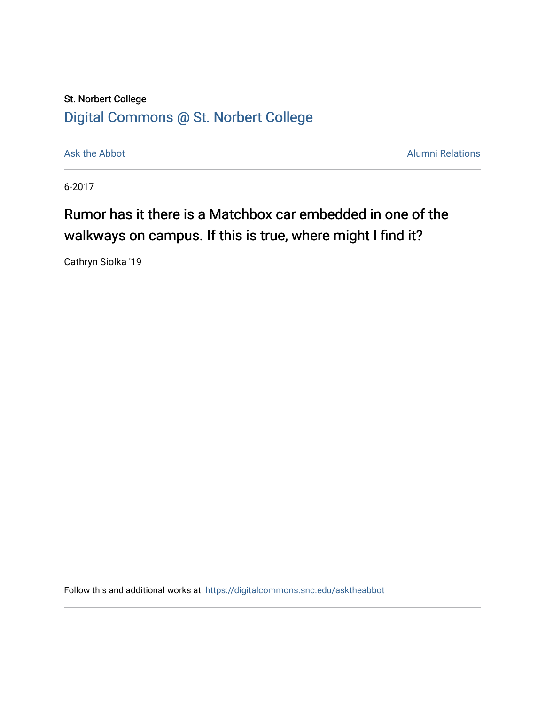## St. Norbert College [Digital Commons @ St. Norbert College](https://digitalcommons.snc.edu/)

[Ask the Abbot](https://digitalcommons.snc.edu/asktheabbot) **Alumni Relations** Ask the Abbot **Alumni Relations** 

6-2017

## Rumor has it there is a Matchbox car embedded in one of the walkways on campus. If this is true, where might I find it?

Cathryn Siolka '19

Follow this and additional works at: [https://digitalcommons.snc.edu/asktheabbot](https://digitalcommons.snc.edu/asktheabbot?utm_source=digitalcommons.snc.edu%2Fasktheabbot%2F131&utm_medium=PDF&utm_campaign=PDFCoverPages)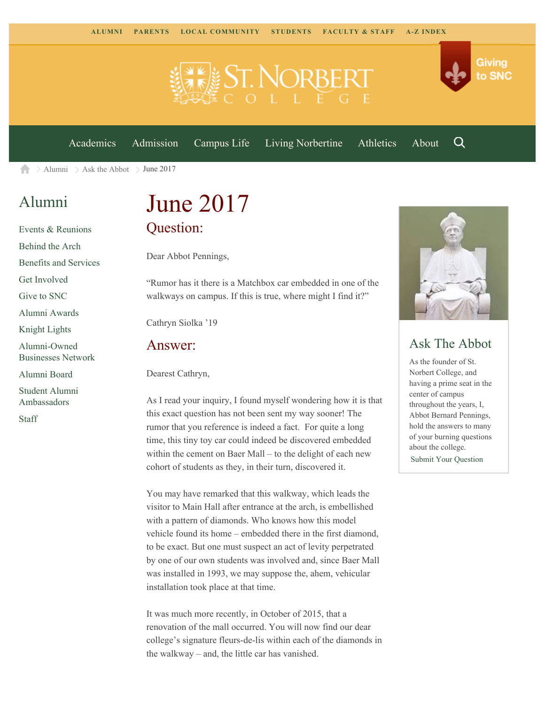

[Academics](https://www.snc.edu/academics) [Admission](https://www.snc.edu/admission) [Campus Life](https://www.snc.edu/campuslife) [Living Norbertine](https://www.snc.edu/livingnorbertine) [Athletics](https://www.snc.edu/athletics) [About](https://www.snc.edu/about)

Q

Giving

to SNC

 $\geq$  [Alumni](https://www.snc.edu/alumni/)  $\geq$  [Ask the Abbot](https://www.snc.edu/alumni/abbot/)  $\geq$  June 2017 A

## [Alumni](https://www.snc.edu/alumni/index.html)

[Events & Reunions](https://www.snc.edu/alumni/event/index.html) [Behind the Arch](https://www.snc.edu/alumni/event/behindthearch/) [Benefits and Services](https://www.snc.edu/alumni/benefits.html) [Get Involved](https://www.snc.edu/alumni/getinvolved.html) [Give to SNC](http://giving.snc.edu/) [Alumni Awards](https://www.snc.edu/alumni/awards/index.html) [Knight Lights](https://www.snc.edu/alumni/knightlights/index.html) [Alumni-Owned](https://www.snc.edu/alumni/directory/index.html) [Businesses Network](https://www.snc.edu/alumni/directory/index.html) [Alumni Board](https://www.snc.edu/alumni/alumniboard.html) [Student Alumni](https://www.snc.edu/alumni/saa.html) [Ambassadors](https://www.snc.edu/alumni/saa.html) [Staff](https://www.snc.edu/alumni/contactus.html)

# June 2017 Question:

Dear Abbot Pennings,

"Rumor has it there is a Matchbox car embedded in one of the walkways on campus. If this is true, where might I find it?"

Cathryn Siolka '19

#### Answer:

Dearest Cathryn,

As I read your inquiry, I found myself wondering how it is that this exact question has not been sent my way sooner! The rumor that you reference is indeed a fact. For quite a long time, this tiny toy car could indeed be discovered embedded within the cement on Baer Mall – to the delight of each new cohort of students as they, in their turn, discovered it.

You may have remarked that this walkway, which leads the visitor to Main Hall after entrance at the arch, is embellished with a pattern of diamonds. Who knows how this model vehicle found its home – embedded there in the first diamond, to be exact. But one must suspect an act of levity perpetrated by one of our own students was involved and, since Baer Mall was installed in 1993, we may suppose the, ahem, vehicular installation took place at that time.

It was much more recently, in October of 2015, that a renovation of the mall occurred. You will now find our dear college's signature fleurs-de-lis within each of the diamonds in the walkway – and, the little car has vanished.



#### Ask The Abbot

As the founder of St. Norbert College, and having a prime seat in the center of campus throughout the years, I, Abbot Bernard Pennings, hold the answers to many of your burning questions about the college. [Submit Your Question](https://www.snc.edu/alumni/abbot/index.html)